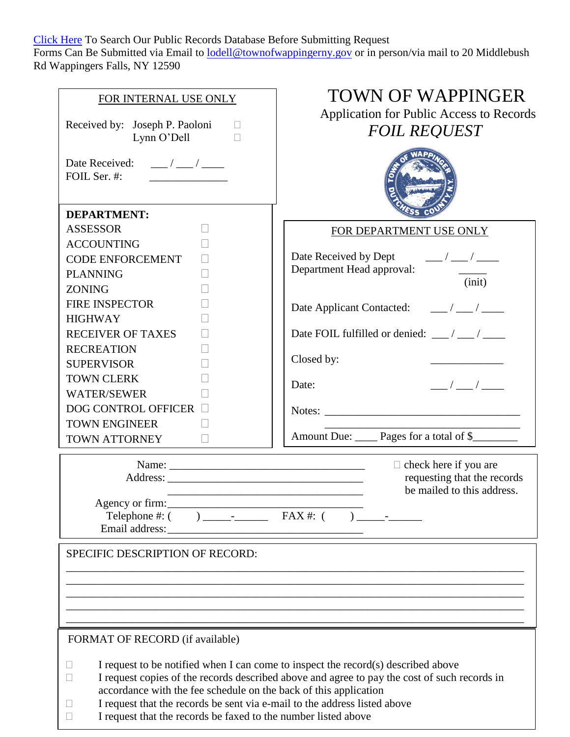[Click Here](http://townofwappinger.selfip.com/weblink/Browse.aspx?id=17530&dbid=0&cr=1) To Search Our Public Records Database Before Submitting Request Forms Can Be Submitted via Email to [lodell@townofwappingerny.gov](mailto:lkalmancy@townofwappingerny.gov) or in person/via mail to 20 Middlebush Rd Wappingers Falls, NY 12590

| FOR INTERNAL USE ONLY<br>Received by: Joseph P. Paoloni<br>Lynn O'Dell<br>П                                                                                                                                          | <b>TOWN OF WAPPINGER</b><br>Application for Public Access to Records<br><b>FOIL REQUEST</b>                                                                                       |  |  |
|----------------------------------------------------------------------------------------------------------------------------------------------------------------------------------------------------------------------|-----------------------------------------------------------------------------------------------------------------------------------------------------------------------------------|--|--|
| Date Received: $\frac{1}{\sqrt{2}}$<br>FOIL Ser. #:                                                                                                                                                                  |                                                                                                                                                                                   |  |  |
| <b>DEPARTMENT:</b>                                                                                                                                                                                                   |                                                                                                                                                                                   |  |  |
| <b>ASSESSOR</b>                                                                                                                                                                                                      | FOR DEPARTMENT USE ONLY                                                                                                                                                           |  |  |
| <b>ACCOUNTING</b><br>CODE ENFORCEMENT<br><b>PLANNING</b><br><b>ZONING</b>                                                                                                                                            | Date Received by Dept $\frac{1}{\sqrt{2\pi}}$<br>Department Head approval:<br>$\frac{1}{\sinh}$                                                                                   |  |  |
| <b>FIRE INSPECTOR</b><br><b>HIGHWAY</b>                                                                                                                                                                              |                                                                                                                                                                                   |  |  |
| <b>RECEIVER OF TAXES</b>                                                                                                                                                                                             | Date FOIL fulfilled or denied: $\frac{1}{\sqrt{2}}$                                                                                                                               |  |  |
| <b>RECREATION</b>                                                                                                                                                                                                    |                                                                                                                                                                                   |  |  |
| <b>SUPERVISOR</b>                                                                                                                                                                                                    | Closed by:                                                                                                                                                                        |  |  |
| <b>TOWN CLERK</b>                                                                                                                                                                                                    | $\frac{\mu}{\mu} = \frac{1}{2} \left( \frac{\mu}{\mu} \right)^2 \frac{1}{2 \mu}$<br>Date:                                                                                         |  |  |
| <b>WATER/SEWER</b>                                                                                                                                                                                                   |                                                                                                                                                                                   |  |  |
| <b>DOG CONTROL OFFICER</b>                                                                                                                                                                                           |                                                                                                                                                                                   |  |  |
| <b>TOWN ENGINEER</b><br>TOWN ATTORNEY                                                                                                                                                                                | Amount Due: _____ Pages for a total of \$________                                                                                                                                 |  |  |
| Agency or firm:                                                                                                                                                                                                      | $\Box$ check here if you are<br>requesting that the records<br>be mailed to this address.<br><u> 1989 - Johann Barbara, margaret eta idazlea (h. 1989).</u>                       |  |  |
|                                                                                                                                                                                                                      |                                                                                                                                                                                   |  |  |
| SPECIFIC DESCRIPTION OF RECORD:                                                                                                                                                                                      |                                                                                                                                                                                   |  |  |
|                                                                                                                                                                                                                      |                                                                                                                                                                                   |  |  |
|                                                                                                                                                                                                                      |                                                                                                                                                                                   |  |  |
| FORMAT OF RECORD (if available)                                                                                                                                                                                      |                                                                                                                                                                                   |  |  |
| accordance with the fee schedule on the back of this application<br>I request that the records be sent via e-mail to the address listed above<br>I request that the records be faxed to the number listed above<br>Ш | I request to be notified when I can come to inspect the record(s) described above<br>I request copies of the records described above and agree to pay the cost of such records in |  |  |